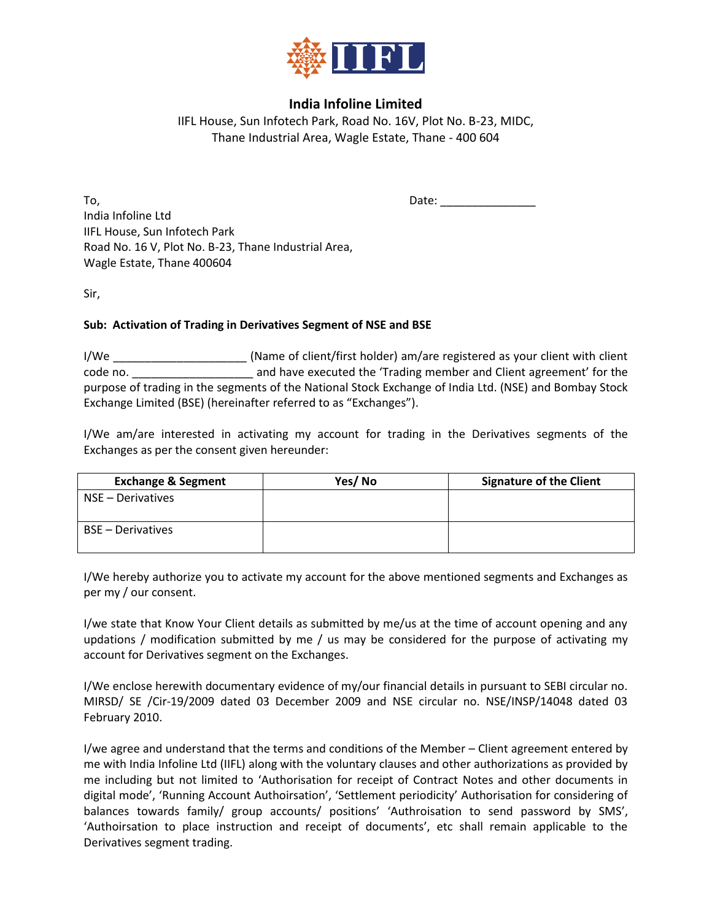

## **India Infoline Limited**

IIFL House, Sun Infotech Park, Road No. 16V, Plot No. B-23, MIDC, Thane Industrial Area, Wagle Estate, Thane - 400 604

 $To,$  Date:  $\Box$ India Infoline Ltd IIFL House, Sun Infotech Park Road No. 16 V, Plot No. B-23, Thane Industrial Area, Wagle Estate, Thane 400604

Sir,

## **Sub: Activation of Trading in Derivatives Segment of NSE and BSE**

I/We \_\_\_\_\_\_\_\_\_\_\_\_\_\_\_\_\_\_\_\_\_ (Name of client/first holder) am/are registered as your client with client code no. \_\_\_\_\_\_\_\_\_\_\_\_\_\_\_\_\_\_\_ and have executed the 'Trading member and Client agreement' for the purpose of trading in the segments of the National Stock Exchange of India Ltd. (NSE) and Bombay Stock Exchange Limited (BSE) (hereinafter referred to as "Exchanges").

I/We am/are interested in activating my account for trading in the Derivatives segments of the Exchanges as per the consent given hereunder:

| <b>Exchange &amp; Segment</b> | Yes/No | <b>Signature of the Client</b> |
|-------------------------------|--------|--------------------------------|
| NSE – Derivatives             |        |                                |
| <b>BSE</b> – Derivatives      |        |                                |

I/We hereby authorize you to activate my account for the above mentioned segments and Exchanges as per my / our consent.

I/we state that Know Your Client details as submitted by me/us at the time of account opening and any updations / modification submitted by me / us may be considered for the purpose of activating my account for Derivatives segment on the Exchanges.

I/We enclose herewith documentary evidence of my/our financial details in pursuant to SEBI circular no. MIRSD/ SE /Cir-19/2009 dated 03 December 2009 and NSE circular no. NSE/INSP/14048 dated 03 February 2010.

I/we agree and understand that the terms and conditions of the Member – Client agreement entered by me with India Infoline Ltd (IIFL) along with the voluntary clauses and other authorizations as provided by me including but not limited to 'Authorisation for receipt of Contract Notes and other documents in digital mode', 'Running Account Authoirsation', 'Settlement periodicity' Authorisation for considering of balances towards family/ group accounts/ positions' 'Authroisation to send password by SMS', 'Authoirsation to place instruction and receipt of documents', etc shall remain applicable to the Derivatives segment trading.